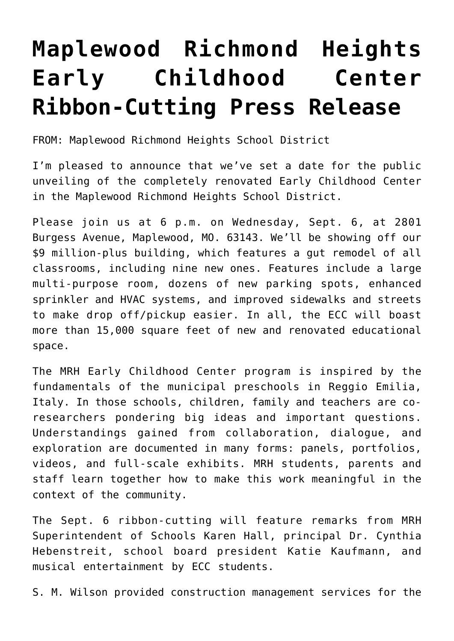## **[Maplewood Richmond Heights](https://smwilson.com/press-releases/maplewood-richmond-heights-early-childhood-center-press-release) [Early Childhood Center](https://smwilson.com/press-releases/maplewood-richmond-heights-early-childhood-center-press-release) [Ribbon-Cutting Press Release](https://smwilson.com/press-releases/maplewood-richmond-heights-early-childhood-center-press-release)**

FROM: Maplewood Richmond Heights School District

I'm pleased to announce that we've set a date for the public unveiling of the completely renovated Early Childhood Center in the Maplewood Richmond Heights School District.

Please join us at 6 p.m. on Wednesday, Sept. 6, at 2801 Burgess Avenue, Maplewood, MO. 63143. We'll be showing off our \$9 million-plus building, which features a gut remodel of all classrooms, including nine new ones. Features include a large multi-purpose room, dozens of new parking spots, enhanced sprinkler and HVAC systems, and improved sidewalks and streets to make drop off/pickup easier. In all, the ECC will boast more than 15,000 square feet of new and renovated educational space.

The MRH Early Childhood Center program is inspired by the fundamentals of the municipal preschools in Reggio Emilia, Italy. In those schools, children, family and teachers are coresearchers pondering big ideas and important questions. Understandings gained from collaboration, dialogue, and exploration are documented in many forms: panels, portfolios, videos, and full-scale exhibits. MRH students, parents and staff learn together how to make this work meaningful in the context of the community.

The Sept. 6 ribbon-cutting will feature remarks from MRH Superintendent of Schools Karen Hall, principal Dr. Cynthia Hebenstreit, school board president Katie Kaufmann, and musical entertainment by ECC students.

S. M. Wilson provided construction management services for the